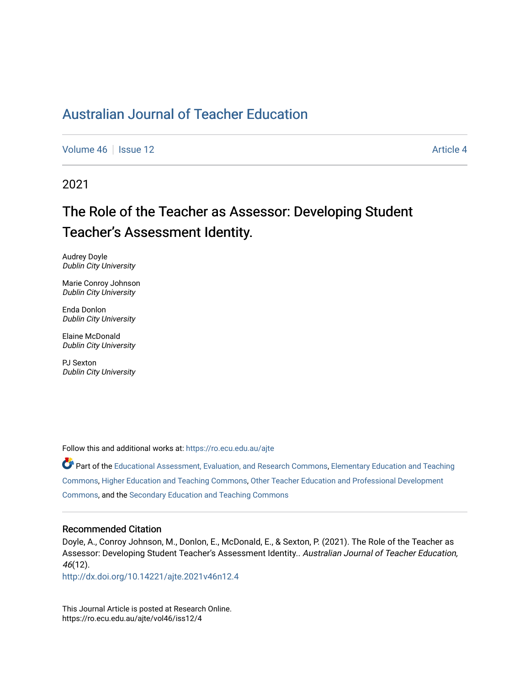## [Australian Journal of Teacher Education](https://ro.ecu.edu.au/ajte)

[Volume 46](https://ro.ecu.edu.au/ajte/vol46) | [Issue 12](https://ro.ecu.edu.au/ajte/vol46/iss12) Article 4

2021

# The Role of the Teacher as Assessor: Developing Student Teacher's Assessment Identity.

Audrey Doyle Dublin City University

Marie Conroy Johnson Dublin City University

Enda Donlon Dublin City University

Elaine McDonald Dublin City University

PJ Sexton Dublin City University

Follow this and additional works at: [https://ro.ecu.edu.au/ajte](https://ro.ecu.edu.au/ajte?utm_source=ro.ecu.edu.au%2Fajte%2Fvol46%2Fiss12%2F4&utm_medium=PDF&utm_campaign=PDFCoverPages) 

Part of the [Educational Assessment, Evaluation, and Research Commons,](http://network.bepress.com/hgg/discipline/796?utm_source=ro.ecu.edu.au%2Fajte%2Fvol46%2Fiss12%2F4&utm_medium=PDF&utm_campaign=PDFCoverPages) Elementary Education and Teaching [Commons,](http://network.bepress.com/hgg/discipline/805?utm_source=ro.ecu.edu.au%2Fajte%2Fvol46%2Fiss12%2F4&utm_medium=PDF&utm_campaign=PDFCoverPages) [Higher Education and Teaching Commons,](http://network.bepress.com/hgg/discipline/806?utm_source=ro.ecu.edu.au%2Fajte%2Fvol46%2Fiss12%2F4&utm_medium=PDF&utm_campaign=PDFCoverPages) [Other Teacher Education and Professional Development](http://network.bepress.com/hgg/discipline/810?utm_source=ro.ecu.edu.au%2Fajte%2Fvol46%2Fiss12%2F4&utm_medium=PDF&utm_campaign=PDFCoverPages) [Commons,](http://network.bepress.com/hgg/discipline/810?utm_source=ro.ecu.edu.au%2Fajte%2Fvol46%2Fiss12%2F4&utm_medium=PDF&utm_campaign=PDFCoverPages) and the [Secondary Education and Teaching Commons](http://network.bepress.com/hgg/discipline/809?utm_source=ro.ecu.edu.au%2Fajte%2Fvol46%2Fiss12%2F4&utm_medium=PDF&utm_campaign=PDFCoverPages) 

#### Recommended Citation

Doyle, A., Conroy Johnson, M., Donlon, E., McDonald, E., & Sexton, P. (2021). The Role of the Teacher as Assessor: Developing Student Teacher's Assessment Identity.. Australian Journal of Teacher Education, 46(12).

<http://dx.doi.org/10.14221/ajte.2021v46n12.4>

This Journal Article is posted at Research Online. https://ro.ecu.edu.au/ajte/vol46/iss12/4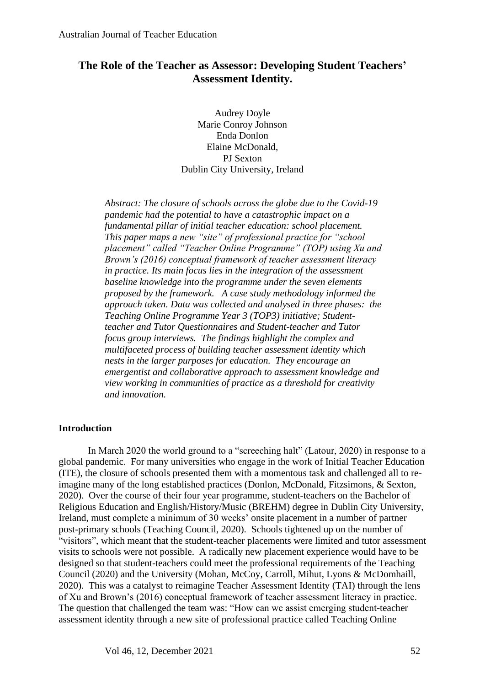## **The Role of the Teacher as Assessor: Developing Student Teachers' Assessment Identity.**

Audrey Doyle Marie Conroy Johnson Enda Donlon Elaine McDonald, PJ Sexton Dublin City University, Ireland

*Abstract: The closure of schools across the globe due to the Covid-19 pandemic had the potential to have a catastrophic impact on a fundamental pillar of initial teacher education: school placement. This paper maps a new "site" of professional practice for "school placement" called "Teacher Online Programme" (TOP) using Xu and Brown's (2016) conceptual framework of teacher assessment literacy in practice. Its main focus lies in the integration of the assessment baseline knowledge into the programme under the seven elements proposed by the framework. A case study methodology informed the approach taken. Data was collected and analysed in three phases: the Teaching Online Programme Year 3 (TOP3) initiative; Studentteacher and Tutor Questionnaires and Student-teacher and Tutor focus group interviews. The findings highlight the complex and multifaceted process of building teacher assessment identity which nests in the larger purposes for education. They encourage an emergentist and collaborative approach to assessment knowledge and view working in communities of practice as a threshold for creativity and innovation.* 

## **Introduction**

In March 2020 the world ground to a "screeching halt" (Latour, 2020) in response to a global pandemic. For many universities who engage in the work of Initial Teacher Education (ITE), the closure of schools presented them with a momentous task and challenged all to reimagine many of the long established practices (Donlon, McDonald, Fitzsimons, & Sexton, 2020). Over the course of their four year programme, student-teachers on the Bachelor of Religious Education and English/History/Music (BREHM) degree in Dublin City University, Ireland, must complete a minimum of 30 weeks' onsite placement in a number of partner post-primary schools (Teaching Council, 2020). Schools tightened up on the number of "visitors", which meant that the student-teacher placements were limited and tutor assessment visits to schools were not possible. A radically new placement experience would have to be designed so that student-teachers could meet the professional requirements of the Teaching Council (2020) and the University (Mohan, McCoy, Carroll, Mihut, Lyons & McDomhaill, 2020). This was a catalyst to reimagine Teacher Assessment Identity (TAI) through the lens of Xu and Brown's (2016) conceptual framework of teacher assessment literacy in practice. The question that challenged the team was: "How can we assist emerging student-teacher assessment identity through a new site of professional practice called Teaching Online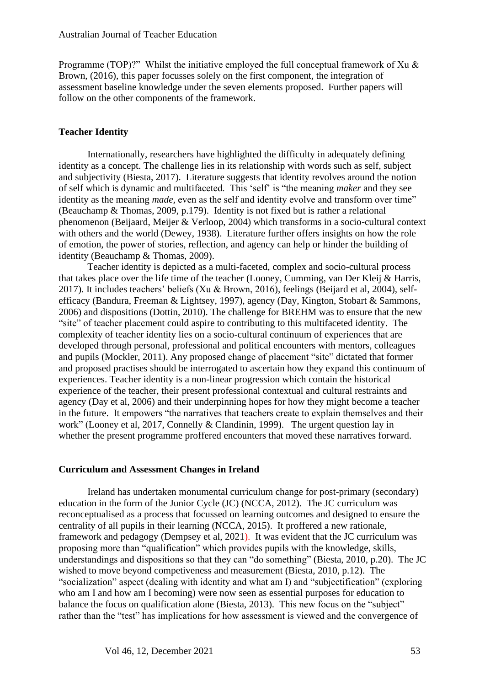Programme (TOP)?" Whilst the initiative employed the full conceptual framework of Xu & Brown, (2016), this paper focusses solely on the first component, the integration of assessment baseline knowledge under the seven elements proposed. Further papers will follow on the other components of the framework.

#### **Teacher Identity**

Internationally, researchers have highlighted the difficulty in adequately defining identity as a concept. The challenge lies in its relationship with words such as self, subject and subjectivity (Biesta, 2017). Literature suggests that identity revolves around the notion of self which is dynamic and multifaceted. This 'self' is "the meaning *maker* and they see identity as the meaning *made*, even as the self and identity evolve and transform over time" (Beauchamp & Thomas, 2009, p.179). Identity is not fixed but is rather a relational phenomenon (Beijaard, Meijer & Verloop, 2004) which transforms in a socio-cultural context with others and the world (Dewey, 1938). Literature further offers insights on how the role of emotion, the power of stories, reflection, and agency can help or hinder the building of identity (Beauchamp & Thomas, 2009).

Teacher identity is depicted as a multi-faceted, complex and socio-cultural process that takes place over the life time of the teacher (Looney, Cumming, van Der Kleij & Harris, 2017). It includes teachers' beliefs (Xu & Brown, 2016), feelings (Beijard et al, 2004), selfefficacy (Bandura, Freeman & Lightsey, 1997), agency (Day, Kington, Stobart & Sammons, 2006) and dispositions (Dottin, 2010). The challenge for BREHM was to ensure that the new "site" of teacher placement could aspire to contributing to this multifaceted identity. The complexity of teacher identity lies on a socio-cultural continuum of experiences that are developed through personal, professional and political encounters with mentors, colleagues and pupils (Mockler, 2011). Any proposed change of placement "site" dictated that former and proposed practises should be interrogated to ascertain how they expand this continuum of experiences. Teacher identity is a non-linear progression which contain the historical experience of the teacher, their present professional contextual and cultural restraints and agency (Day et al, 2006) and their underpinning hopes for how they might become a teacher in the future. It empowers "the narratives that teachers create to explain themselves and their work" (Looney et al, 2017, Connelly & Clandinin, 1999). The urgent question lay in whether the present programme proffered encounters that moved these narratives forward.

#### **Curriculum and Assessment Changes in Ireland**

Ireland has undertaken monumental curriculum change for post-primary (secondary) education in the form of the Junior Cycle (JC) (NCCA, 2012). The JC curriculum was reconceptualised as a process that focussed on learning outcomes and designed to ensure the centrality of all pupils in their learning (NCCA, 2015). It proffered a new rationale, framework and pedagogy (Dempsey et al, 2021). It was evident that the JC curriculum was proposing more than "qualification" which provides pupils with the knowledge, skills, understandings and dispositions so that they can "do something" (Biesta, 2010, p.20). The JC wished to move beyond competiveness and measurement (Biesta, 2010, p.12). The "socialization" aspect (dealing with identity and what am I) and "subjectification" (exploring who am I and how am I becoming) were now seen as essential purposes for education to balance the focus on qualification alone (Biesta, 2013). This new focus on the "subject" rather than the "test" has implications for how assessment is viewed and the convergence of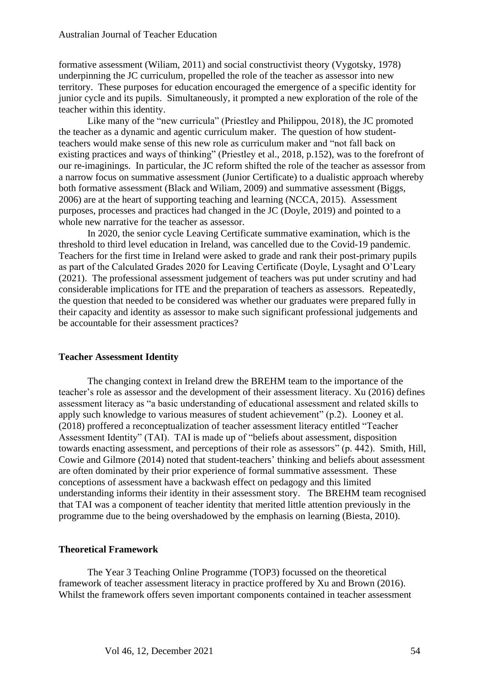formative assessment (Wiliam, 2011) and social constructivist theory (Vygotsky, 1978) underpinning the JC curriculum, propelled the role of the teacher as assessor into new territory. These purposes for education encouraged the emergence of a specific identity for junior cycle and its pupils. Simultaneously, it prompted a new exploration of the role of the teacher within this identity.

Like many of the "new curricula" (Priestley and Philippou, 2018), the JC promoted the teacher as a dynamic and agentic curriculum maker. The question of how studentteachers would make sense of this new role as curriculum maker and "not fall back on existing practices and ways of thinking" (Priestley et al., 2018, p.152), was to the forefront of our re-imaginings. In particular, the JC reform shifted the role of the teacher as assessor from a narrow focus on summative assessment (Junior Certificate) to a dualistic approach whereby both formative assessment (Black and Wiliam, 2009) and summative assessment (Biggs, 2006) are at the heart of supporting teaching and learning (NCCA, 2015). Assessment purposes, processes and practices had changed in the JC (Doyle, 2019) and pointed to a whole new narrative for the teacher as assessor.

In 2020, the senior cycle Leaving Certificate summative examination, which is the threshold to third level education in Ireland, was cancelled due to the Covid-19 pandemic. Teachers for the first time in Ireland were asked to grade and rank their post-primary pupils as part of the Calculated Grades 2020 for Leaving Certificate (Doyle, Lysaght and O'Leary (2021). The professional assessment judgement of teachers was put under scrutiny and had considerable implications for ITE and the preparation of teachers as assessors. Repeatedly, the question that needed to be considered was whether our graduates were prepared fully in their capacity and identity as assessor to make such significant professional judgements and be accountable for their assessment practices?

#### **Teacher Assessment Identity**

The changing context in Ireland drew the BREHM team to the importance of the teacher's role as assessor and the development of their assessment literacy. Xu (2016) defines assessment literacy as "a basic understanding of educational assessment and related skills to apply such knowledge to various measures of student achievement" (p.2). Looney et al. (2018) proffered a reconceptualization of teacher assessment literacy entitled "Teacher Assessment Identity" (TAI). TAI is made up of "beliefs about assessment, disposition towards enacting assessment, and perceptions of their role as assessors" (p. 442). Smith, Hill, Cowie and Gilmore (2014) noted that student-teachers' thinking and beliefs about assessment are often dominated by their prior experience of formal summative assessment. These conceptions of assessment have a backwash effect on pedagogy and this limited understanding informs their identity in their assessment story. The BREHM team recognised that TAI was a component of teacher identity that merited little attention previously in the programme due to the being overshadowed by the emphasis on learning (Biesta, 2010).

#### **Theoretical Framework**

The Year 3 Teaching Online Programme (TOP3) focussed on the theoretical framework of teacher assessment literacy in practice proffered by Xu and Brown (2016). Whilst the framework offers seven important components contained in teacher assessment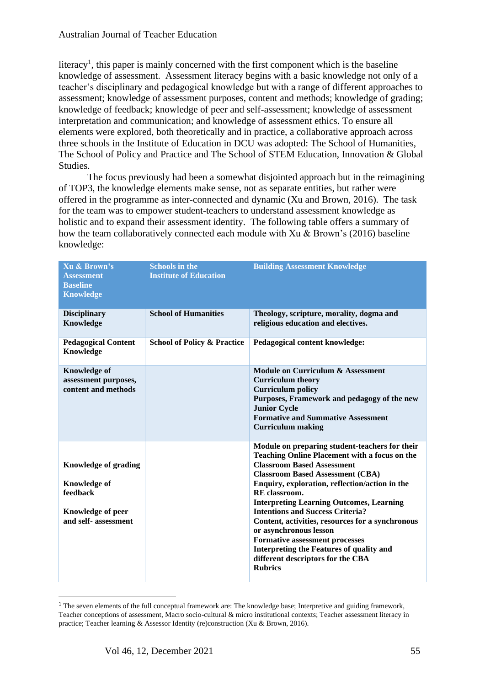literacy<sup>1</sup>, this paper is mainly concerned with the first component which is the baseline knowledge of assessment. Assessment literacy begins with a basic knowledge not only of a teacher's disciplinary and pedagogical knowledge but with a range of different approaches to assessment; knowledge of assessment purposes, content and methods; knowledge of grading; knowledge of feedback; knowledge of peer and self-assessment; knowledge of assessment interpretation and communication; and knowledge of assessment ethics. To ensure all elements were explored, both theoretically and in practice, a collaborative approach across three schools in the Institute of Education in DCU was adopted: The School of Humanities, The School of Policy and Practice and The School of STEM Education, Innovation & Global Studies.

The focus previously had been a somewhat disjointed approach but in the reimagining of TOP3, the knowledge elements make sense, not as separate entities, but rather were offered in the programme as inter-connected and dynamic (Xu and Brown, 2016). The task for the team was to empower student-teachers to understand assessment knowledge as holistic and to expand their assessment identity. The following table offers a summary of how the team collaboratively connected each module with Xu & Brown's (2016) baseline knowledge:

| Xu & Brown's<br><b>Assessment</b><br><b>Baseline</b><br><b>Knowledge</b>                                           | <b>Schools in the</b><br><b>Institute of Education</b> | <b>Building Assessment Knowledge</b>                                                                                                                                                                                                                                                                                                                                                                                                                                                                                                                                              |
|--------------------------------------------------------------------------------------------------------------------|--------------------------------------------------------|-----------------------------------------------------------------------------------------------------------------------------------------------------------------------------------------------------------------------------------------------------------------------------------------------------------------------------------------------------------------------------------------------------------------------------------------------------------------------------------------------------------------------------------------------------------------------------------|
| <b>Disciplinary</b><br>Knowledge                                                                                   | <b>School of Humanities</b>                            | Theology, scripture, morality, dogma and<br>religious education and electives.                                                                                                                                                                                                                                                                                                                                                                                                                                                                                                    |
| <b>Pedagogical Content</b><br>Knowledge                                                                            | <b>School of Policy &amp; Practice</b>                 | Pedagogical content knowledge:                                                                                                                                                                                                                                                                                                                                                                                                                                                                                                                                                    |
| <b>Knowledge of</b><br>assessment purposes,<br>content and methods                                                 |                                                        | <b>Module on Curriculum &amp; Assessment</b><br><b>Curriculum</b> theory<br><b>Curriculum policy</b><br>Purposes, Framework and pedagogy of the new<br><b>Junior Cycle</b><br><b>Formative and Summative Assessment</b><br><b>Curriculum making</b>                                                                                                                                                                                                                                                                                                                               |
| <b>Knowledge of grading</b><br><b>Knowledge of</b><br>feedback<br><b>Knowledge of peer</b><br>and self- assessment |                                                        | Module on preparing student-teachers for their<br><b>Teaching Online Placement with a focus on the</b><br><b>Classroom Based Assessment</b><br><b>Classroom Based Assessment (CBA)</b><br>Enquiry, exploration, reflection/action in the<br>RE classroom.<br><b>Interpreting Learning Outcomes, Learning</b><br><b>Intentions and Success Criteria?</b><br>Content, activities, resources for a synchronous<br>or asynchronous lesson<br><b>Formative assessment processes</b><br>Interpreting the Features of quality and<br>different descriptors for the CBA<br><b>Rubrics</b> |

<sup>&</sup>lt;sup>1</sup> The seven elements of the full conceptual framework are: The knowledge base; Interpretive and guiding framework, Teacher conceptions of assessment, Macro socio-cultural & micro institutional contexts; Teacher assessment literacy in practice; Teacher learning & Assessor Identity (re)construction (Xu & Brown, 2016).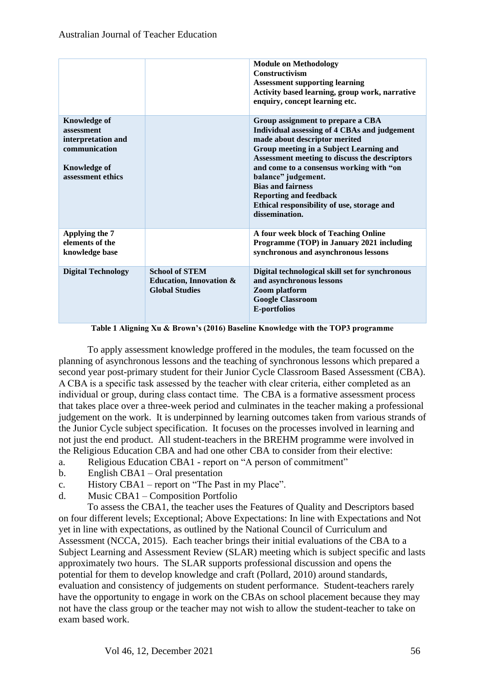|                                                                                                                      |                                                                                      | <b>Module on Methodology</b><br>Constructivism<br><b>Assessment supporting learning</b><br>Activity based learning, group work, narrative<br>enquiry, concept learning etc.                                                                                                                                                                                                                                    |
|----------------------------------------------------------------------------------------------------------------------|--------------------------------------------------------------------------------------|----------------------------------------------------------------------------------------------------------------------------------------------------------------------------------------------------------------------------------------------------------------------------------------------------------------------------------------------------------------------------------------------------------------|
| <b>Knowledge of</b><br>assessment<br>interpretation and<br>communication<br><b>Knowledge of</b><br>assessment ethics |                                                                                      | Group assignment to prepare a CBA<br>Individual assessing of 4 CBAs and judgement<br>made about descriptor merited<br>Group meeting in a Subject Learning and<br>Assessment meeting to discuss the descriptors<br>and come to a consensus working with "on<br>balance" judgement.<br><b>Bias and fairness</b><br><b>Reporting and feedback</b><br>Ethical responsibility of use, storage and<br>dissemination. |
| Applying the 7<br>elements of the<br>knowledge base                                                                  |                                                                                      | A four week block of Teaching Online<br>Programme (TOP) in January 2021 including<br>synchronous and asynchronous lessons                                                                                                                                                                                                                                                                                      |
| <b>Digital Technology</b>                                                                                            | <b>School of STEM</b><br><b>Education, Innovation &amp;</b><br><b>Global Studies</b> | Digital technological skill set for synchronous<br>and asynchronous lessons<br>Zoom platform<br><b>Google Classroom</b><br><b>E-portfolios</b>                                                                                                                                                                                                                                                                 |

**Table 1 Aligning Xu & Brown's (2016) Baseline Knowledge with the TOP3 programme**

To apply assessment knowledge proffered in the modules, the team focussed on the planning of asynchronous lessons and the teaching of synchronous lessons which prepared a second year post-primary student for their Junior Cycle Classroom Based Assessment (CBA). A CBA is a specific task assessed by the teacher with clear criteria, either completed as an individual or group, during class contact time. The CBA is a formative assessment process that takes place over a three-week period and culminates in the teacher making a professional judgement on the work. It is underpinned by learning outcomes taken from various strands of the Junior Cycle subject specification. It focuses on the processes involved in learning and not just the end product. All student-teachers in the BREHM programme were involved in the Religious Education CBA and had one other CBA to consider from their elective:

- a. Religious Education CBA1 report on "A person of commitment"
- b. English CBA1 Oral presentation
- c. History CBA1 report on "The Past in my Place".
- d. Music CBA1 Composition Portfolio

To assess the CBA1, the teacher uses the Features of Quality and Descriptors based on four different levels; Exceptional; Above Expectations: In line with Expectations and Not yet in line with expectations, as outlined by the National Council of Curriculum and Assessment (NCCA, 2015). Each teacher brings their initial evaluations of the CBA to a Subject Learning and Assessment Review (SLAR) meeting which is subject specific and lasts approximately two hours. The SLAR supports professional discussion and opens the potential for them to develop knowledge and craft (Pollard, 2010) around standards, evaluation and consistency of judgements on student performance. Student-teachers rarely have the opportunity to engage in work on the CBAs on school placement because they may not have the class group or the teacher may not wish to allow the student-teacher to take on exam based work.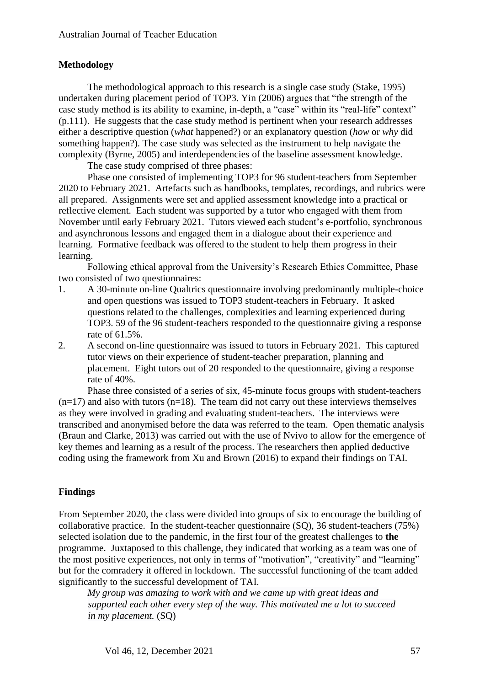## **Methodology**

The methodological approach to this research is a single case study (Stake, 1995) undertaken during placement period of TOP3. Yin (2006) argues that "the strength of the case study method is its ability to examine, in-depth, a "case" within its "real-life" context" (p.111). He suggests that the case study method is pertinent when your research addresses either a descriptive question (*what* happened?) or an explanatory question (*how* or *why* did something happen?). The case study was selected as the instrument to help navigate the complexity (Byrne, 2005) and interdependencies of the baseline assessment knowledge.

The case study comprised of three phases:

Phase one consisted of implementing TOP3 for 96 student-teachers from September 2020 to February 2021. Artefacts such as handbooks, templates, recordings, and rubrics were all prepared. Assignments were set and applied assessment knowledge into a practical or reflective element. Each student was supported by a tutor who engaged with them from November until early February 2021. Tutors viewed each student's e-portfolio, synchronous and asynchronous lessons and engaged them in a dialogue about their experience and learning. Formative feedback was offered to the student to help them progress in their learning.

Following ethical approval from the University's Research Ethics Committee, Phase two consisted of two questionnaires:

- 1. A 30-minute on-line Qualtrics questionnaire involving predominantly multiple-choice and open questions was issued to TOP3 student-teachers in February. It asked questions related to the challenges, complexities and learning experienced during TOP3. 59 of the 96 student-teachers responded to the questionnaire giving a response rate of 61.5%.
- 2. A second on-line questionnaire was issued to tutors in February 2021. This captured tutor views on their experience of student-teacher preparation, planning and placement. Eight tutors out of 20 responded to the questionnaire, giving a response rate of 40%.

Phase three consisted of a series of six, 45-minute focus groups with student-teachers  $(n=17)$  and also with tutors  $(n=18)$ . The team did not carry out these interviews themselves as they were involved in grading and evaluating student-teachers. The interviews were transcribed and anonymised before the data was referred to the team. Open thematic analysis (Braun and Clarke, 2013) was carried out with the use of Nvivo to allow for the emergence of key themes and learning as a result of the process. The researchers then applied deductive coding using the framework from Xu and Brown (2016) to expand their findings on TAI.

## **Findings**

From September 2020, the class were divided into groups of six to encourage the building of collaborative practice. In the student-teacher questionnaire (SQ), 36 student-teachers (75%) selected isolation due to the pandemic, in the first four of the greatest challenges to **the** programme. Juxtaposed to this challenge, they indicated that working as a team was one of the most positive experiences, not only in terms of "motivation", "creativity" and "learning" but for the comradery it offered in lockdown. The successful functioning of the team added significantly to the successful development of TAI.

*My group was amazing to work with and we came up with great ideas and supported each other every step of the way. This motivated me a lot to succeed in my placement.* (SQ)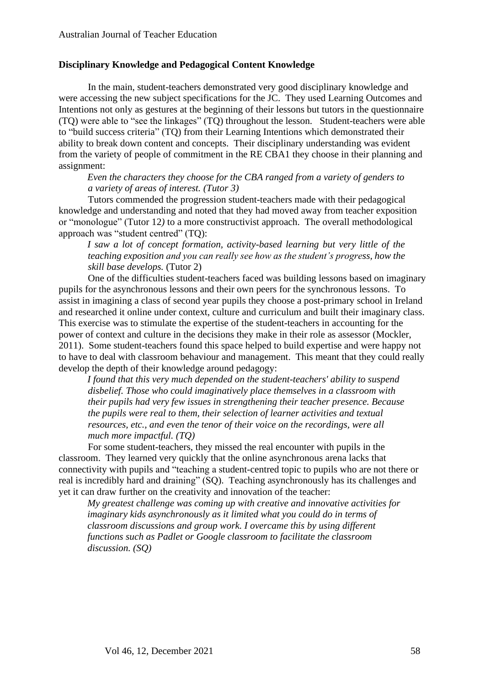### **Disciplinary Knowledge and Pedagogical Content Knowledge**

In the main, student-teachers demonstrated very good disciplinary knowledge and were accessing the new subject specifications for the JC. They used Learning Outcomes and Intentions not only as gestures at the beginning of their lessons but tutors in the questionnaire (TQ) were able to "see the linkages" (TQ) throughout the lesson. Student-teachers were able to "build success criteria" (TQ) from their Learning Intentions which demonstrated their ability to break down content and concepts. Their disciplinary understanding was evident from the variety of people of commitment in the RE CBA1 they choose in their planning and assignment:

*Even the characters they choose for the CBA ranged from a variety of genders to a variety of areas of interest. (Tutor 3)*

Tutors commended the progression student-teachers made with their pedagogical knowledge and understanding and noted that they had moved away from teacher exposition or "monologue" (Tutor 12*)* to a more constructivist approach. The overall methodological approach was "student centred" (TQ):

*I saw a lot of concept formation, activity-based learning but very little of the teaching exposition and you can really see how as the student's progress, how the skill base develops.* (Tutor 2)

One of the difficulties student-teachers faced was building lessons based on imaginary pupils for the asynchronous lessons and their own peers for the synchronous lessons. To assist in imagining a class of second year pupils they choose a post-primary school in Ireland and researched it online under context, culture and curriculum and built their imaginary class. This exercise was to stimulate the expertise of the student-teachers in accounting for the power of context and culture in the decisions they make in their role as assessor (Mockler, 2011). Some student-teachers found this space helped to build expertise and were happy not to have to deal with classroom behaviour and management. This meant that they could really develop the depth of their knowledge around pedagogy:

*I found that this very much depended on the student-teachers' ability to suspend disbelief. Those who could imaginatively place themselves in a classroom with their pupils had very few issues in strengthening their teacher presence. Because the pupils were real to them, their selection of learner activities and textual resources, etc., and even the tenor of their voice on the recordings, were all much more impactful. (TQ)*

For some student-teachers, they missed the real encounter with pupils in the classroom. They learned very quickly that the online asynchronous arena lacks that connectivity with pupils and "teaching a student-centred topic to pupils who are not there or real is incredibly hard and draining" (SQ). Teaching asynchronously has its challenges and yet it can draw further on the creativity and innovation of the teacher:

*My greatest challenge was coming up with creative and innovative activities for imaginary kids asynchronously as it limited what you could do in terms of classroom discussions and group work. I overcame this by using different functions such as Padlet or Google classroom to facilitate the classroom discussion. (SQ)*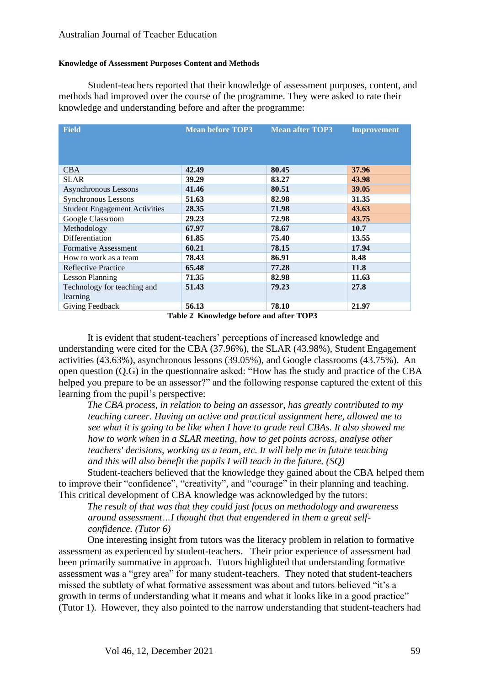#### **Knowledge of Assessment Purposes Content and Methods**

Student-teachers reported that their knowledge of assessment purposes, content, and methods had improved over the course of the programme. They were asked to rate their knowledge and understanding before and after the programme:

| <b>Field</b>                         | <b>Mean before TOP3</b> | <b>Mean after TOP3</b> | <b>Improvement</b> |
|--------------------------------------|-------------------------|------------------------|--------------------|
|                                      |                         |                        |                    |
|                                      |                         |                        |                    |
|                                      |                         |                        |                    |
| <b>CBA</b>                           | 42.49                   | 80.45                  | 37.96              |
| <b>SLAR</b>                          | 39.29                   | 83.27                  | 43.98              |
| Asynchronous Lessons                 | 41.46                   | 80.51                  | 39.05              |
| Synchronous Lessons                  | 51.63                   | 82.98                  | 31.35              |
| <b>Student Engagement Activities</b> | 28.35                   | 71.98                  | 43.63              |
| Google Classroom                     | 29.23                   | 72.98                  | 43.75              |
| Methodology                          | 67.97                   | 78.67                  | 10.7               |
| Differentiation                      | 61.85                   | 75.40                  | 13.55              |
| <b>Formative Assessment</b>          | 60.21                   | 78.15                  | 17.94              |
| How to work as a team                | 78.43                   | 86.91                  | 8.48               |
| Reflective Practice                  | 65.48                   | 77.28                  | 11.8               |
| Lesson Planning                      | 71.35                   | 82.98                  | 11.63              |
| Technology for teaching and          | 51.43                   | 79.23                  | 27.8               |
| learning                             |                         |                        |                    |
| Giving Feedback                      | 56.13                   | 78.10                  | 21.97              |

**Table 2 Knowledge before and after TOP3**

It is evident that student-teachers' perceptions of increased knowledge and understanding were cited for the CBA (37.96%), the SLAR (43.98%), Student Engagement activities (43.63%), asynchronous lessons (39.05%), and Google classrooms (43.75%). An open question (Q.G) in the questionnaire asked: "How has the study and practice of the CBA helped you prepare to be an assessor?" and the following response captured the extent of this learning from the pupil's perspective:

*The CBA process, in relation to being an assessor, has greatly contributed to my teaching career. Having an active and practical assignment here, allowed me to see what it is going to be like when I have to grade real CBAs. It also showed me how to work when in a SLAR meeting, how to get points across, analyse other teachers' decisions, working as a team, etc. It will help me in future teaching and this will also benefit the pupils I will teach in the future. (SQ)*

Student-teachers believed that the knowledge they gained about the CBA helped them to improve their "confidence", "creativity", and "courage" in their planning and teaching. This critical development of CBA knowledge was acknowledged by the tutors:

*The result of that was that they could just focus on methodology and awareness around assessment…I thought that that engendered in them a great selfconfidence. (Tutor 6)*

One interesting insight from tutors was the literacy problem in relation to formative assessment as experienced by student-teachers. Their prior experience of assessment had been primarily summative in approach. Tutors highlighted that understanding formative assessment was a "grey area" for many student-teachers. They noted that student-teachers missed the subtlety of what formative assessment was about and tutors believed "it's a growth in terms of understanding what it means and what it looks like in a good practice" (Tutor 1). However, they also pointed to the narrow understanding that student-teachers had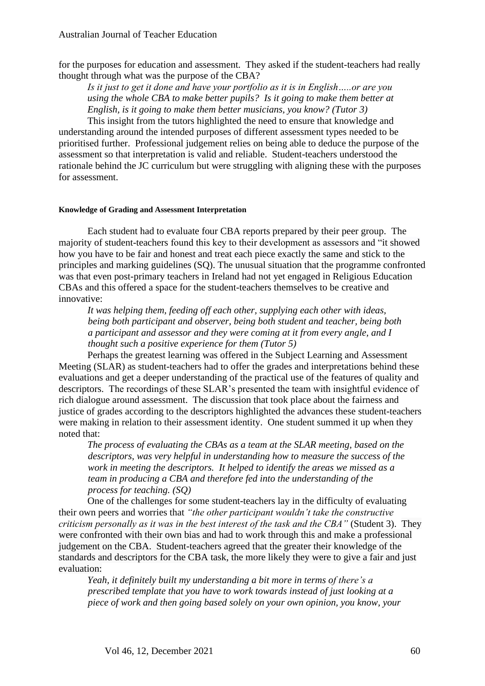for the purposes for education and assessment. They asked if the student-teachers had really thought through what was the purpose of the CBA?

*Is it just to get it done and have your portfolio as it is in English…..or are you using the whole CBA to make better pupils? Is it going to make them better at English, is it going to make them better musicians, you know? (Tutor 3)*

This insight from the tutors highlighted the need to ensure that knowledge and understanding around the intended purposes of different assessment types needed to be prioritised further. Professional judgement relies on being able to deduce the purpose of the assessment so that interpretation is valid and reliable. Student-teachers understood the rationale behind the JC curriculum but were struggling with aligning these with the purposes for assessment.

#### **Knowledge of Grading and Assessment Interpretation**

Each student had to evaluate four CBA reports prepared by their peer group. The majority of student-teachers found this key to their development as assessors and "it showed how you have to be fair and honest and treat each piece exactly the same and stick to the principles and marking guidelines (SQ). The unusual situation that the programme confronted was that even post-primary teachers in Ireland had not yet engaged in Religious Education CBAs and this offered a space for the student-teachers themselves to be creative and innovative:

*It was helping them, feeding off each other, supplying each other with ideas, being both participant and observer, being both student and teacher, being both a participant and assessor and they were coming at it from every angle, and I thought such a positive experience for them (Tutor 5)*

Perhaps the greatest learning was offered in the Subject Learning and Assessment Meeting (SLAR) as student-teachers had to offer the grades and interpretations behind these evaluations and get a deeper understanding of the practical use of the features of quality and descriptors. The recordings of these SLAR's presented the team with insightful evidence of rich dialogue around assessment. The discussion that took place about the fairness and justice of grades according to the descriptors highlighted the advances these student-teachers were making in relation to their assessment identity. One student summed it up when they noted that:

*The process of evaluating the CBAs as a team at the SLAR meeting, based on the descriptors, was very helpful in understanding how to measure the success of the work in meeting the descriptors. It helped to identify the areas we missed as a team in producing a CBA and therefore fed into the understanding of the process for teaching. (SQ)*

One of the challenges for some student-teachers lay in the difficulty of evaluating their own peers and worries that *"the other participant wouldn't take the constructive criticism personally as it was in the best interest of the task and the CBA"* (Student 3). They were confronted with their own bias and had to work through this and make a professional judgement on the CBA. Student-teachers agreed that the greater their knowledge of the standards and descriptors for the CBA task, the more likely they were to give a fair and just evaluation:

*Yeah, it definitely built my understanding a bit more in terms of there's a prescribed template that you have to work towards instead of just looking at a piece of work and then going based solely on your own opinion, you know, your*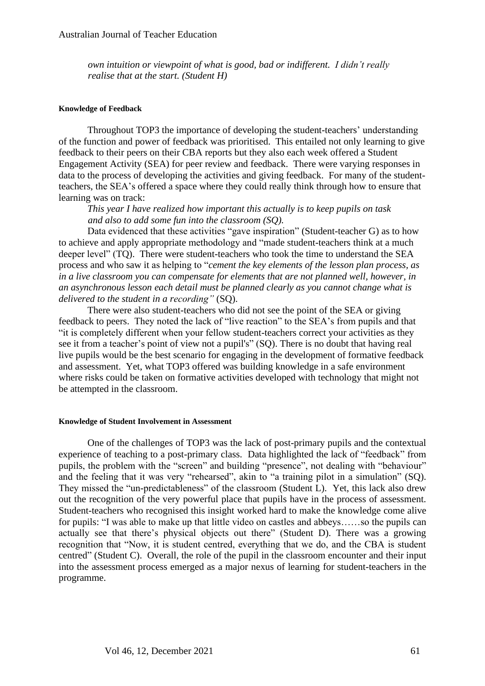*own intuition or viewpoint of what is good, bad or indifferent. I didn't really realise that at the start. (Student H)*

#### **Knowledge of Feedback**

Throughout TOP3 the importance of developing the student-teachers' understanding of the function and power of feedback was prioritised. This entailed not only learning to give feedback to their peers on their CBA reports but they also each week offered a Student Engagement Activity (SEA) for peer review and feedback. There were varying responses in data to the process of developing the activities and giving feedback. For many of the studentteachers, the SEA's offered a space where they could really think through how to ensure that learning was on track:

*This year I have realized how important this actually is to keep pupils on task and also to add some fun into the classroom (SQ).*

Data evidenced that these activities "gave inspiration" (Student-teacher G) as to how to achieve and apply appropriate methodology and "made student-teachers think at a much deeper level" (TQ). There were student-teachers who took the time to understand the SEA process and who saw it as helping to "*cement the key elements of the lesson plan process, as in a live classroom you can compensate for elements that are not planned well, however, in an asynchronous lesson each detail must be planned clearly as you cannot change what is delivered to the student in a recording"* (SQ).

There were also student-teachers who did not see the point of the SEA or giving feedback to peers. They noted the lack of "live reaction" to the SEA's from pupils and that "it is completely different when your fellow student-teachers correct your activities as they see it from a teacher's point of view not a pupil's" (SQ). There is no doubt that having real live pupils would be the best scenario for engaging in the development of formative feedback and assessment. Yet, what TOP3 offered was building knowledge in a safe environment where risks could be taken on formative activities developed with technology that might not be attempted in the classroom.

#### **Knowledge of Student Involvement in Assessment**

One of the challenges of TOP3 was the lack of post-primary pupils and the contextual experience of teaching to a post-primary class. Data highlighted the lack of "feedback" from pupils, the problem with the "screen" and building "presence", not dealing with "behaviour" and the feeling that it was very "rehearsed", akin to "a training pilot in a simulation" (SQ). They missed the "un-predictableness" of the classroom (Student L). Yet, this lack also drew out the recognition of the very powerful place that pupils have in the process of assessment. Student-teachers who recognised this insight worked hard to make the knowledge come alive for pupils: "I was able to make up that little video on castles and abbeys……so the pupils can actually see that there's physical objects out there" (Student D). There was a growing recognition that "Now, it is student centred, everything that we do, and the CBA is student centred" (Student C). Overall, the role of the pupil in the classroom encounter and their input into the assessment process emerged as a major nexus of learning for student-teachers in the programme.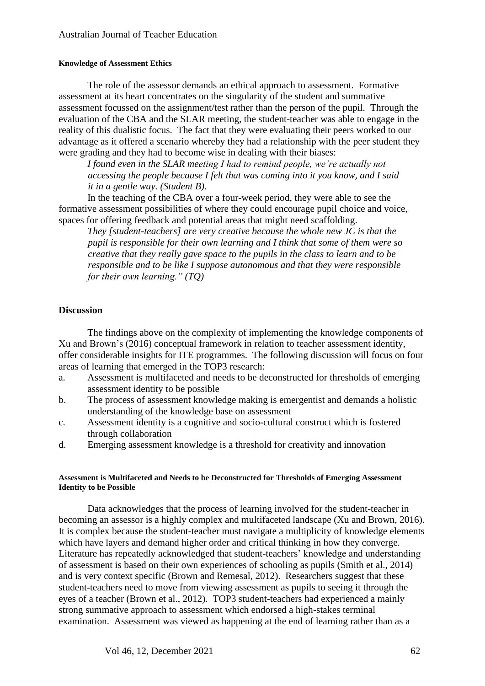#### **Knowledge of Assessment Ethics**

The role of the assessor demands an ethical approach to assessment. Formative assessment at its heart concentrates on the singularity of the student and summative assessment focussed on the assignment/test rather than the person of the pupil. Through the evaluation of the CBA and the SLAR meeting, the student-teacher was able to engage in the reality of this dualistic focus. The fact that they were evaluating their peers worked to our advantage as it offered a scenario whereby they had a relationship with the peer student they were grading and they had to become wise in dealing with their biases:

*I found even in the SLAR meeting I had to remind people, we're actually not accessing the people because I felt that was coming into it you know, and I said it in a gentle way. (Student B).*

In the teaching of the CBA over a four-week period, they were able to see the formative assessment possibilities of where they could encourage pupil choice and voice, spaces for offering feedback and potential areas that might need scaffolding.

*They [student-teachers] are very creative because the whole new JC is that the pupil is responsible for their own learning and I think that some of them were so creative that they really gave space to the pupils in the class to learn and to be responsible and to be like I suppose autonomous and that they were responsible for their own learning." (TQ)*

## **Discussion**

The findings above on the complexity of implementing the knowledge components of Xu and Brown's (2016) conceptual framework in relation to teacher assessment identity, offer considerable insights for ITE programmes. The following discussion will focus on four areas of learning that emerged in the TOP3 research:

- a. Assessment is multifaceted and needs to be deconstructed for thresholds of emerging assessment identity to be possible
- b. The process of assessment knowledge making is emergentist and demands a holistic understanding of the knowledge base on assessment
- c. Assessment identity is a cognitive and socio-cultural construct which is fostered through collaboration
- d. Emerging assessment knowledge is a threshold for creativity and innovation

#### **Assessment is Multifaceted and Needs to be Deconstructed for Thresholds of Emerging Assessment Identity to be Possible**

Data acknowledges that the process of learning involved for the student-teacher in becoming an assessor is a highly complex and multifaceted landscape (Xu and Brown, 2016). It is complex because the student-teacher must navigate a multiplicity of knowledge elements which have layers and demand higher order and critical thinking in how they converge. Literature has repeatedly acknowledged that student-teachers' knowledge and understanding of assessment is based on their own experiences of schooling as pupils (Smith et al., 2014) and is very context specific (Brown and Remesal, 2012). Researchers suggest that these student-teachers need to move from viewing assessment as pupils to seeing it through the eyes of a teacher (Brown et al., 2012). TOP3 student-teachers had experienced a mainly strong summative approach to assessment which endorsed a high-stakes terminal examination. Assessment was viewed as happening at the end of learning rather than as a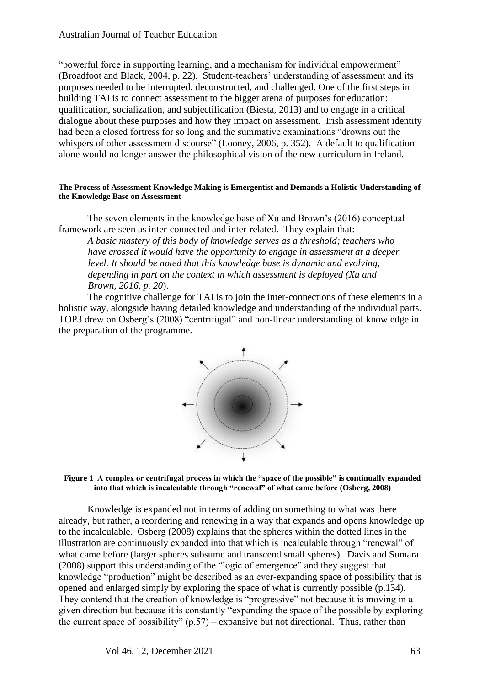"powerful force in supporting learning, and a mechanism for individual empowerment" (Broadfoot and Black, 2004, p. 22). Student-teachers' understanding of assessment and its purposes needed to be interrupted, deconstructed, and challenged. One of the first steps in building TAI is to connect assessment to the bigger arena of purposes for education: qualification, socialization, and subjectification (Biesta, 2013) and to engage in a critical dialogue about these purposes and how they impact on assessment. Irish assessment identity had been a closed fortress for so long and the summative examinations "drowns out the whispers of other assessment discourse" (Looney, 2006, p. 352). A default to qualification alone would no longer answer the philosophical vision of the new curriculum in Ireland.

#### **The Process of Assessment Knowledge Making is Emergentist and Demands a Holistic Understanding of the Knowledge Base on Assessment**

The seven elements in the knowledge base of Xu and Brown's (2016) conceptual framework are seen as inter-connected and inter-related. They explain that:

*A basic mastery of this body of knowledge serves as a threshold; teachers who have crossed it would have the opportunity to engage in assessment at a deeper level. It should be noted that this knowledge base is dynamic and evolving, depending in part on the context in which assessment is deployed (Xu and Brown, 2016, p. 20*).

The cognitive challenge for TAI is to join the inter-connections of these elements in a holistic way, alongside having detailed knowledge and understanding of the individual parts. TOP3 drew on Osberg's (2008) "centrifugal" and non-linear understanding of knowledge in the preparation of the programme.



**Figure 1 A complex or centrifugal process in which the "space of the possible" is continually expanded into that which is incalculable through "renewal" of what came before (Osberg, 2008)**

Knowledge is expanded not in terms of adding on something to what was there already, but rather, a reordering and renewing in a way that expands and opens knowledge up to the incalculable. Osberg (2008) explains that the spheres within the dotted lines in the illustration are continuously expanded into that which is incalculable through "renewal" of what came before (larger spheres subsume and transcend small spheres). Davis and Sumara (2008) support this understanding of the "logic of emergence" and they suggest that knowledge "production" might be described as an ever-expanding space of possibility that is opened and enlarged simply by exploring the space of what is currently possible (p.134). They contend that the creation of knowledge is "progressive" not because it is moving in a given direction but because it is constantly "expanding the space of the possible by exploring the current space of possibility"  $(p.57)$  – expansive but not directional. Thus, rather than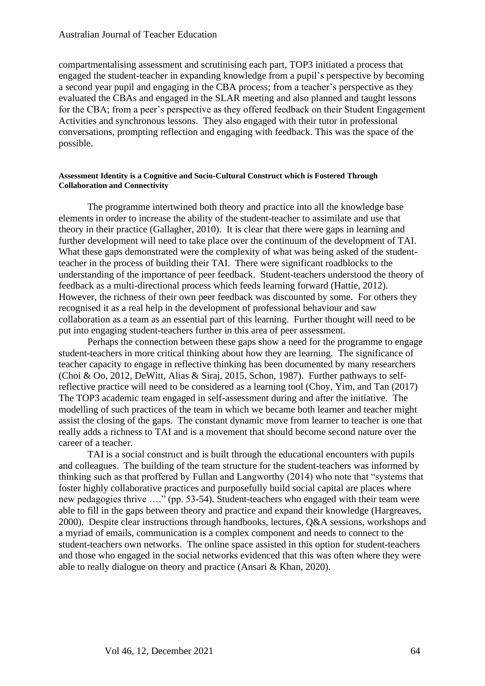compartmentalising assessment and scrutinising each part, TOP3 initiated a process that engaged the student-teacher in expanding knowledge from a pupil's perspective by becoming a second year pupil and engaging in the CBA process; from a teacher's perspective as they evaluated the CBAs and engaged in the SLAR meeting and also planned and taught lessons for the CBA; from a peer's perspective as they offered feedback on their Student Engagement Activities and synchronous lessons. They also engaged with their tutor in professional conversations, prompting reflection and engaging with feedback. This was the space of the possible.

#### **Assessment Identity is a Cognitive and Socio-Cultural Construct which is Fostered Through Collaboration and Connectivity**

The programme intertwined both theory and practice into all the knowledge base elements in order to increase the ability of the student-teacher to assimilate and use that theory in their practice (Gallagher, 2010). It is clear that there were gaps in learning and further development will need to take place over the continuum of the development of TAI. What these gaps demonstrated were the complexity of what was being asked of the studentteacher in the process of building their TAI. There were significant roadblocks to the understanding of the importance of peer feedback. Student-teachers understood the theory of feedback as a multi-directional process which feeds learning forward (Hattie, 2012). However, the richness of their own peer feedback was discounted by some. For others they recognised it as a real help in the development of professional behaviour and saw collaboration as a team as an essential part of this learning. Further thought will need to be put into engaging student-teachers further in this area of peer assessment.

Perhaps the connection between these gaps show a need for the programme to engage student-teachers in more critical thinking about how they are learning. The significance of teacher capacity to engage in reflective thinking has been documented by many researchers (Choi & Oo, 2012, DeWitt, Alias & Siraj, 2015, Schon, 1987). Further pathways to selfreflective practice will need to be considered as a learning tool (Choy, Yim, and Tan (2017) The TOP3 academic team engaged in self-assessment during and after the initiative. The modelling of such practices of the team in which we became both learner and teacher might assist the closing of the gaps. The constant dynamic move from learner to teacher is one that really adds a richness to TAI and is a movement that should become second nature over the career of a teacher.

TAI is a social construct and is built through the educational encounters with pupils and colleagues. The building of the team structure for the student-teachers was informed by thinking such as that proffered by Fullan and Langworthy (2014) who note that "systems that foster highly collaborative practices and purposefully build social capital are places where new pedagogies thrive …." (pp. 53-54). Student-teachers who engaged with their team were able to fill in the gaps between theory and practice and expand their knowledge (Hargreaves, 2000). Despite clear instructions through handbooks, lectures, Q&A sessions, workshops and a myriad of emails, communication is a complex component and needs to connect to the student-teachers own networks. The online space assisted in this option for student-teachers and those who engaged in the social networks evidenced that this was often where they were able to really dialogue on theory and practice (Ansari & Khan, 2020).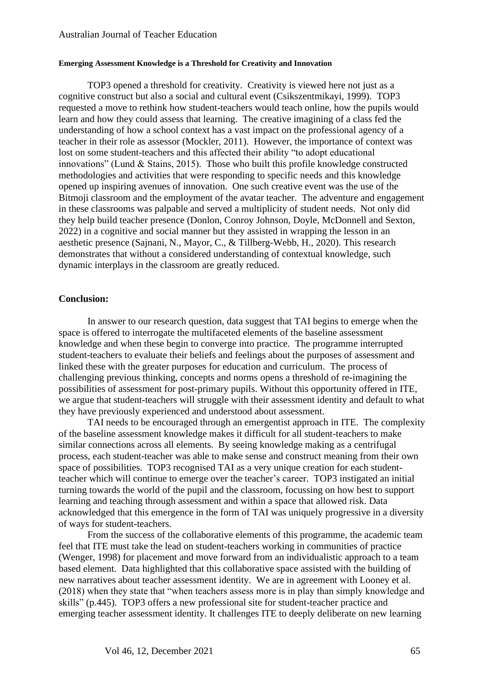#### **Emerging Assessment Knowledge is a Threshold for Creativity and Innovation**

TOP3 opened a threshold for creativity. Creativity is viewed here not just as a cognitive construct but also a social and cultural event (Csikszentmikayi, 1999). TOP3 requested a move to rethink how student-teachers would teach online, how the pupils would learn and how they could assess that learning. The creative imagining of a class fed the understanding of how a school context has a vast impact on the professional agency of a teacher in their role as assessor (Mockler, 2011). However, the importance of context was lost on some student-teachers and this affected their ability "to adopt educational innovations" (Lund & Stains, 2015). Those who built this profile knowledge constructed methodologies and activities that were responding to specific needs and this knowledge opened up inspiring avenues of innovation. One such creative event was the use of the Bitmoji classroom and the employment of the avatar teacher. The adventure and engagement in these classrooms was palpable and served a multiplicity of student needs. Not only did they help build teacher presence (Donlon, Conroy Johnson, Doyle, McDonnell and Sexton, 2022) in a cognitive and social manner but they assisted in wrapping the lesson in an aesthetic presence (Sajnani, N., Mayor, C., & Tillberg-Webb, H., 2020). This research demonstrates that without a considered understanding of contextual knowledge, such dynamic interplays in the classroom are greatly reduced.

#### **Conclusion:**

In answer to our research question, data suggest that TAI begins to emerge when the space is offered to interrogate the multifaceted elements of the baseline assessment knowledge and when these begin to converge into practice. The programme interrupted student-teachers to evaluate their beliefs and feelings about the purposes of assessment and linked these with the greater purposes for education and curriculum. The process of challenging previous thinking, concepts and norms opens a threshold of re-imagining the possibilities of assessment for post-primary pupils. Without this opportunity offered in ITE, we argue that student-teachers will struggle with their assessment identity and default to what they have previously experienced and understood about assessment.

TAI needs to be encouraged through an emergentist approach in ITE. The complexity of the baseline assessment knowledge makes it difficult for all student-teachers to make similar connections across all elements. By seeing knowledge making as a centrifugal process, each student-teacher was able to make sense and construct meaning from their own space of possibilities. TOP3 recognised TAI as a very unique creation for each studentteacher which will continue to emerge over the teacher's career. TOP3 instigated an initial turning towards the world of the pupil and the classroom, focussing on how best to support learning and teaching through assessment and within a space that allowed risk. Data acknowledged that this emergence in the form of TAI was uniquely progressive in a diversity of ways for student-teachers.

From the success of the collaborative elements of this programme, the academic team feel that ITE must take the lead on student-teachers working in communities of practice (Wenger, 1998) for placement and move forward from an individualistic approach to a team based element. Data highlighted that this collaborative space assisted with the building of new narratives about teacher assessment identity. We are in agreement with Looney et al. (2018) when they state that "when teachers assess more is in play than simply knowledge and skills" (p.445). TOP3 offers a new professional site for student-teacher practice and emerging teacher assessment identity. It challenges ITE to deeply deliberate on new learning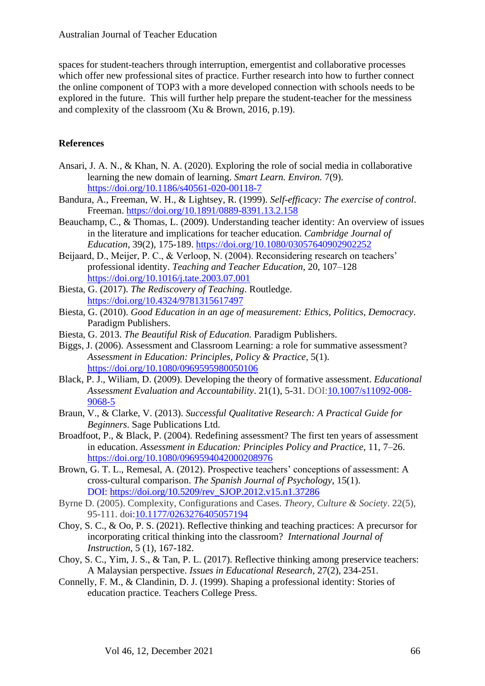spaces for student-teachers through interruption, emergentist and collaborative processes which offer new professional sites of practice. Further research into how to further connect the online component of TOP3 with a more developed connection with schools needs to be explored in the future. This will further help prepare the student-teacher for the messiness and complexity of the classroom (Xu & Brown, 2016, p.19).

## **References**

- Ansari, J. A. N., & Khan, N. A. (2020). Exploring the role of social media in collaborative learning the new domain of learning. *Smart Learn. Environ.* 7(9). <https://doi.org/10.1186/s40561-020-00118-7>
- Bandura, A., Freeman, W. H., & Lightsey, R. (1999). *Self-efficacy: The exercise of control*. Freeman. <https://doi.org/10.1891/0889-8391.13.2.158>
- Beauchamp, C., & Thomas, L. (2009). Understanding teacher identity: An overview of issues in the literature and implications for teacher education. *Cambridge Journal of Education*, 39(2), 175-189. <https://doi.org/10.1080/03057640902902252>
- Beijaard, D., Meijer, P. C., & Verloop, N. (2004). Reconsidering research on teachers' professional identity. *Teaching and Teacher Education*, 20, 107–128 <https://doi.org/10.1016/j.tate.2003.07.001>
- Biesta, G. (2017). *The Rediscovery of Teaching*. Routledge. <https://doi.org/10.4324/9781315617497>
- Biesta, G. (2010). *Good Education in an age of measurement: Ethics, Politics, Democracy*. Paradigm Publishers.
- Biesta, G. 2013. *The Beautiful Risk of Education.* Paradigm Publishers.
- Biggs, J. (2006). Assessment and Classroom Learning: a role for summative assessment? *Assessment in Education: Principles, Policy & Practice,* 5(1). <https://doi.org/10.1080/0969595980050106>
- Black, P. J., Wiliam, D. (2009). Developing the theory of formative assessment. *Educational Assessment Evaluation and Accountability*. 21(1), 5-31. DOI[:10.1007/s11092-008-](http://dx.doi.org/10.1007/s11092-008-9068-5) [9068-5](http://dx.doi.org/10.1007/s11092-008-9068-5)
- Braun, V., & Clarke, V. (2013). *Successful Qualitative Research: A Practical Guide for Beginners*. Sage Publications Ltd.
- Broadfoot, P., & Black, P. (2004). Redefining assessment? The first ten years of assessment in education. *Assessment in Education: Principles Policy and Practice*, 11, 7–26. <https://doi.org/10.1080/0969594042000208976>
- Brown, G. T. L., Remesal, A. (2012). Prospective teachers' conceptions of assessment: A cross-cultural comparison. *The Spanish Journal of Psychology*, 15(1). DOI: [https://doi.org/10.5209/rev\\_SJOP.2012.v15.n1.37286](https://doi.org/10.5209/rev_SJOP.2012.v15.n1.37286)
- Byrne D. (2005). Complexity, Configurations and Cases. *Theory, Culture & Society*. 22(5), 95-111. doi[:10.1177/0263276405057194](https://doi.org/10.1177/0263276405057194)
- Choy, S. C., & Oo, P. S. (2021). Reflective thinking and teaching practices: A precursor for incorporating critical thinking into the classroom? *International Journal of Instruction*, 5 (1), 167-182.
- Choy, S. C., Yim, J. S., & Tan, P. L. (2017). Reflective thinking among preservice teachers: A Malaysian perspective. *Issues in Educational Research*, 27(2), 234-251.
- Connelly, F. M., & Clandinin, D. J. (1999). Shaping a professional identity: Stories of education practice. Teachers College Press.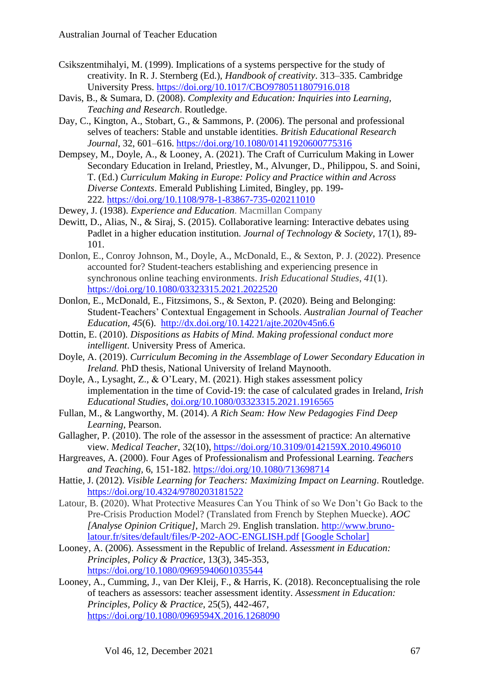- Csikszentmihalyi, M. (1999). Implications of a systems perspective for the study of creativity. In R. J. Sternberg (Ed.), *Handbook of creativity*. 313–335. Cambridge University Press. <https://doi.org/10.1017/CBO9780511807916.018>
- Davis, B., & Sumara, D. (2008). *Complexity and Education: Inquiries into Learning, Teaching and Research*. Routledge.
- Day, C., Kington, A., Stobart, G., & Sammons, P. (2006). The personal and professional selves of teachers: Stable and unstable identities. *British Educational Research Journal*, 32, 601–616.<https://doi.org/10.1080/01411920600775316>
- Dempsey, M., Doyle, A., & Looney, A. (2021). The Craft of Curriculum Making in Lower Secondary Education in Ireland, Priestley, M., Alvunger, D., Philippou, S. and Soini, T. (Ed.) *Curriculum Making in Europe: Policy and Practice within and Across Diverse Contexts*. Emerald Publishing Limited, Bingley, pp. 199- 222. <https://doi.org/10.1108/978-1-83867-735-020211010>
- Dewey, J. (1938). *Experience and Education*. Macmillan Company
- Dewitt, D., Alias, N., & Siraj, S. (2015). Collaborative learning: Interactive debates using Padlet in a higher education institution. *Journal of Technology & Society*, 17(1), 89- 101.
- Donlon, E., Conroy Johnson, M., Doyle, A., McDonald, E., & Sexton, P. J. (2022). Presence accounted for? Student-teachers establishing and experiencing presence in synchronous online teaching environments. *Irish Educational Studies*, *41*(1). <https://doi.org/10.1080/03323315.2021.2022520>
- Donlon, E., McDonald, E., Fitzsimons, S., & Sexton, P. (2020). Being and Belonging: Student-Teachers' Contextual Engagement in Schools. *Australian Journal of Teacher Education, 45*(6). <http://dx.doi.org/10.14221/ajte.2020v45n6.6>
- Dottin, E. (2010). *Dispositions as Habits of Mind. Making professional conduct more intelligent*. University Press of America.
- Doyle, A. (2019). *Curriculum Becoming in the Assemblage of Lower Secondary Education in Ireland.* PhD thesis, National University of Ireland Maynooth.
- Doyle, A., Lysaght, Z., & O'Leary, M. (2021). High stakes assessment policy implementation in the time of Covid-19: the case of calculated grades in Ireland, *Irish Educational Studies*, [doi.org/10.1080/03323315.2021.1916565](https://doi.org/10.1080/03323315.2021.1916565)
- Fullan, M., & Langworthy, M. (2014). *A Rich Seam: How New Pedagogies Find Deep Learning*, Pearson.
- Gallagher, P. (2010). The role of the assessor in the assessment of practice: An alternative view. *Medical Teacher*, 32(10),<https://doi.org/10.3109/0142159X.2010.496010>
- Hargreaves, A. (2000). Four Ages of Professionalism and Professional Learning. *Teachers and Teaching,* 6, 151-182. <https://doi.org/10.1080/713698714>
- Hattie, J. (2012). *Visible Learning for Teachers: Maximizing Impact on Learning*. Routledge. <https://doi.org/10.4324/9780203181522>
- Latour, B. (2020). What Protective Measures Can You Think of so We Don't Go Back to the Pre-Crisis Production Model? (Translated from French by Stephen Muecke). *AOC [Analyse Opinion Critique]*, March 29. English translation. [http://www.bruno](http://www.bruno-latour.fr/sites/default/files/P-202-AOC-ENGLISH.pdf)[latour.fr/sites/default/files/P-202-AOC-ENGLISH.pdf](http://www.bruno-latour.fr/sites/default/files/P-202-AOC-ENGLISH.pdf) [\[Google Scholar\]](http://scholar.google.com/scholar_lookup?hl=en&publication_year=2020&author=B.+Latour&title=What+Protective+Measures+Can+You+Think+of+so+We+Don%E2%80%99t+Go+Back+to+the+Pre-crisis+Production+Model%3F%E2%80%9D+%28Translated+from+French+by+Stephen+Muecke%29)
- Looney, A. (2006). Assessment in the Republic of Ireland. *Assessment in Education: Principles, Policy & Practice*, 13(3), 345-353, <https://doi.org/10.1080/09695940601035544>
- Looney, A., Cumming, J., van Der Kleij, F., & Harris, K. (2018). Reconceptualising the role of teachers as assessors: teacher assessment identity. *Assessment in Education: Principles, Policy & Practice*, 25(5), 442-467, <https://doi.org/10.1080/0969594X.2016.1268090>